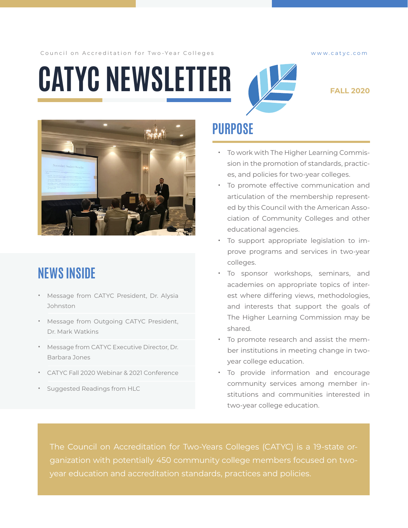Council on Accreditation for Two-Year Colleges www.catyc.com

# **CATYC NEWSLETTER**



#### **FALL 2020**



# **NEWS INSIDE**

- Message from CATYC President, Dr. Alysia **Johnston**
- Message from Outgoing CATYC President, Dr. Mark Watkins
- Message from CATYC Executive Director, Dr. Barbara Jones
- CATYC Fall 2020 Webinar & 2021 Conference
- Suggested Readings from HLC

## **PURPOSE**

- To work with The Higher Learning Commission in the promotion of standards, practices, and policies for two-year colleges.
- To promote effective communication and articulation of the membership represented by this Council with the American Association of Community Colleges and other educational agencies.
- To support appropriate legislation to improve programs and services in two-year colleges.
- To sponsor workshops, seminars, and academies on appropriate topics of interest where differing views, methodologies, and interests that support the goals of The Higher Learning Commission may be shared.
- To promote research and assist the member institutions in meeting change in twoyear college education.
- To provide information and encourage community services among member institutions and communities interested in two-year college education.

The Council on Accreditation for Two-Years Colleges (CATYC) is a 19-state organization with potentially 450 community college members focused on two-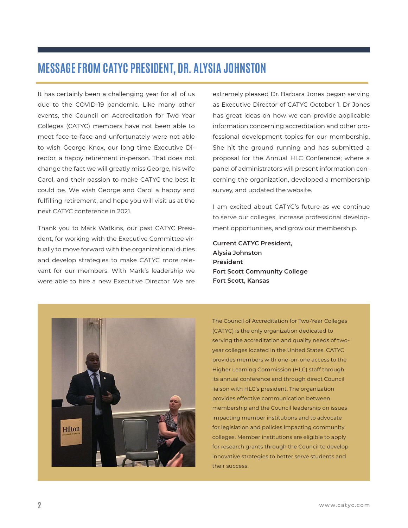### **MESSAGE FROM CATYC PRESIDENT, DR. ALYSIA JOHNSTON**

It has certainly been a challenging year for all of us due to the COVID-19 pandemic. Like many other events, the Council on Accreditation for Two Year Colleges (CATYC) members have not been able to meet face-to-face and unfortunately were not able to wish George Knox, our long time Executive Director, a happy retirement in-person. That does not change the fact we will greatly miss George, his wife Carol, and their passion to make CATYC the best it could be. We wish George and Carol a happy and fulfilling retirement, and hope you will visit us at the next CATYC conference in 2021.

Thank you to Mark Watkins, our past CATYC President, for working with the Executive Committee virtually to move forward with the organizational duties and develop strategies to make CATYC more relevant for our members. With Mark's leadership we were able to hire a new Executive Director. We are extremely pleased Dr. Barbara Jones began serving as Executive Director of CATYC October 1. Dr Jones has great ideas on how we can provide applicable information concerning accreditation and other professional development topics for our membership. She hit the ground running and has submitted a proposal for the Annual HLC Conference; where a panel of administrators will present information concerning the organization, developed a membership survey, and updated the website.

I am excited about CATYC's future as we continue to serve our colleges, increase professional development opportunities, and grow our membership.

**Current CATYC President, Alysia Johnston President Fort Scott Community College Fort Scott, Kansas**



The Council of Accreditation for Two-Year Colleges (CATYC) is the only organization dedicated to serving the accreditation and quality needs of twoyear colleges located in the United States. CATYC provides members with one-on-one access to the Higher Learning Commission (HLC) staff through its annual conference and through direct Council liaison with HLC's president. The organization provides effective communication between membership and the Council leadership on issues impacting member institutions and to advocate for legislation and policies impacting community colleges. Member institutions are eligible to apply for research grants through the Council to develop innovative strategies to better serve students and their success.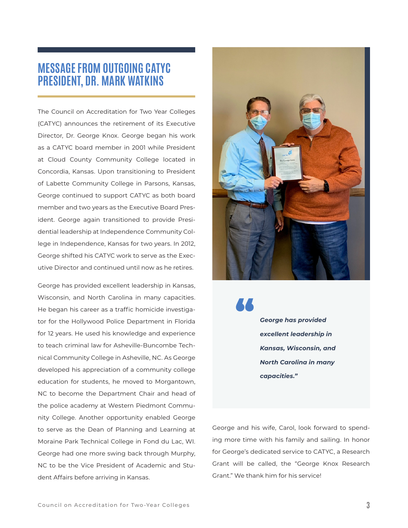### **MESSAGE FROM OUTGOING CATYC PRESIDENT, DR. MARK WATKINS**

The Council on Accreditation for Two Year Colleges (CATYC) announces the retirement of its Executive Director, Dr. George Knox. George began his work as a CATYC board member in 2001 while President at Cloud County Community College located in Concordia, Kansas. Upon transitioning to President of Labette Community College in Parsons, Kansas, George continued to support CATYC as both board member and two years as the Executive Board President. George again transitioned to provide Presidential leadership at Independence Community College in Independence, Kansas for two years. In 2012, George shifted his CATYC work to serve as the Executive Director and continued until now as he retires.

George has provided excellent leadership in Kansas, Wisconsin, and North Carolina in many capacities. He began his career as a traffic homicide investigator for the Hollywood Police Department in Florida for 12 years. He used his knowledge and experience to teach criminal law for Asheville-Buncombe Technical Community College in Asheville, NC. As George developed his appreciation of a community college education for students, he moved to Morgantown, NC to become the Department Chair and head of the police academy at Western Piedmont Community College. Another opportunity enabled George to serve as the Dean of Planning and Learning at Moraine Park Technical College in Fond du Lac, WI. George had one more swing back through Murphy, NC to be the Vice President of Academic and Student Affairs before arriving in Kansas.



*George has provided excellent leadership in Kansas, Wisconsin, and North Carolina in many capacities."*

"

George and his wife, Carol, look forward to spending more time with his family and sailing. In honor for George's dedicated service to CATYC, a Research Grant will be called, the "George Knox Research Grant." We thank him for his service!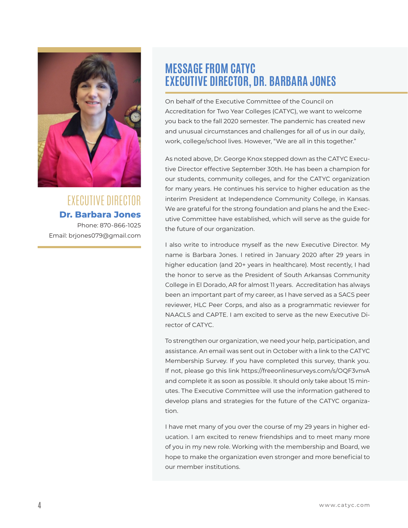

EXECUTIVE DIRECTOR **Dr. Barbara Jones** Phone: 870-866-1025 Email: brjones079@gmail.com

### **MESSAGE FROM CATYC EXECUTIVE DIRECTOR, DR. BARBARA JONES**

On behalf of the Executive Committee of the Council on Accreditation for Two Year Colleges (CATYC), we want to welcome you back to the fall 2020 semester. The pandemic has created new and unusual circumstances and challenges for all of us in our daily, work, college/school lives. However, "We are all in this together."

As noted above, Dr. George Knox stepped down as the CATYC Executive Director effective September 30th. He has been a champion for our students, community colleges, and for the CATYC organization for many years. He continues his service to higher education as the interim President at Independence Community College, in Kansas. We are grateful for the strong foundation and plans he and the Executive Committee have established, which will serve as the guide for the future of our organization.

I also write to introduce myself as the new Executive Director. My name is Barbara Jones. I retired in January 2020 after 29 years in higher education (and 20+ years in healthcare). Most recently, I had the honor to serve as the President of South Arkansas Community College in El Dorado, AR for almost 11 years. Accreditation has always been an important part of my career, as I have served as a SACS peer reviewer, HLC Peer Corps, and also as a programmatic reviewer for NAACLS and CAPTE. I am excited to serve as the new Executive Director of CATYC.

To strengthen our organization, we need your help, participation, and assistance. An email was sent out in October with a link to the CATYC Membership Survey. If you have completed this survey, thank you. If not, please go this link https://freeonlinesurveys.com/s/OQF3vnvA and complete it as soon as possible. It should only take about 15 minutes. The Executive Committee will use the information gathered to develop plans and strategies for the future of the CATYC organization.

I have met many of you over the course of my 29 years in higher education. I am excited to renew friendships and to meet many more of you in my new role. Working with the membership and Board, we hope to make the organization even stronger and more beneficial to our member institutions.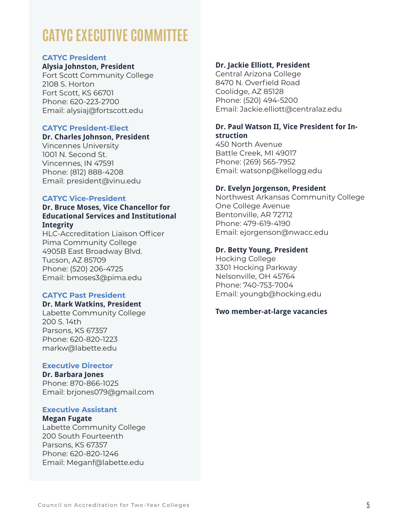# **CATYC EXECUTIVE COMMITTEE**

#### **CATYC President**

#### **Alysia Johnston, President**

Fort Scott Community College 2108 S. Horton Fort Scott, KS 66701 Phone: 620-223-2700 Email: alysiaj@fortscott.edu

#### **CATYC President-Elect**

#### **Dr. Charles Johnson, President**

Vincennes University 1001 N. Second St. Vincennes, IN 47591 Phone: (812) 888-4208 Email: president@vinu.edu

#### **CATYC Vice-President**

#### **Dr. Bruce Moses, Vice Chancellor for Educational Services and Institutional Integrity**

HLC-Accreditation Liaison Officer Pima Community College 4905B East Broadway Blvd. Tucson, AZ 85709 Phone: (520) 206-4725 Email: bmoses3@pima.edu

#### **CATYC Past President**

#### **Dr. Mark Watkins, President**

Labette Community College 200 S. 14th Parsons, KS 67357 Phone: 620-820-1223 markw@labette.edu

#### **Executive Director**

**Dr. Barbara Jones** Phone: 870-866-1025 Email: brjones079@gmail.com

#### **Executive Assistant**

**Megan Fugate**  Labette Community College 200 South Fourteenth Parsons, KS 67357 Phone: 620-820-1246 Email: Meganf@labette.edu

#### **Dr. Jackie Elliott, President**

Central Arizona College 8470 N. Overfield Road Coolidge, AZ 85128 Phone: (520) 494-5200 Email: Jackie.elliott@centralaz.edu

#### **Dr. Paul Watson II, Vice President for Instruction**

450 North Avenue Battle Creek, MI 49017 Phone: (269) 565-7952 Email: watsonp@kellogg.edu

#### **Dr. Evelyn Jorgenson, President**

Northwest Arkansas Community College One College Avenue Bentonville, AR 72712 Phone: 479-619-4190 Email: ejorgenson@nwacc.edu

#### **Dr. Betty Young, President**

Hocking College 3301 Hocking Parkway Nelsonville, OH 45764 Phone: 740-753-7004 Email: youngb@hocking.edu

#### **Two member-at-large vacancies**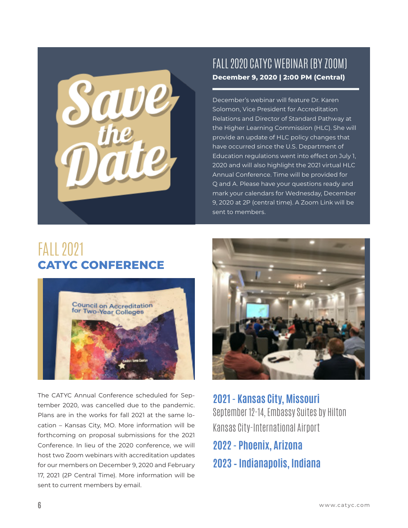

### FALL 2020 CATYC WEBINAR (BY ZOOM) **December 9, 2020 | 2:00 PM (Central)**

December's webinar will feature Dr. Karen Solomon, Vice President for Accreditation Relations and Director of Standard Pathway at the Higher Learning Commission (HLC). She will provide an update of HLC policy changes that have occurred since the U.S. Department of Education regulations went into effect on July 1, 2020 and will also highlight the 2021 virtual HLC Annual Conference. Time will be provided for Q and A. Please have your questions ready and mark your calendars for Wednesday, December 9, 2020 at 2P (central time). A Zoom Link will be sent to members.

# FALL 2021 **CATYC CONFERENCE**



The CATYC Annual Conference scheduled for September 2020, was cancelled due to the pandemic. Plans are in the works for fall 2021 at the same location – Kansas City, MO. More information will be forthcoming on proposal submissions for the 2021 Conference. In lieu of the 2020 conference, we will host two Zoom webinars with accreditation updates for our members on December 9, 2020 and February 17, 2021 (2P Central Time). More information will be sent to current members by email.



**2021 - Kansas City, Missouri** September 12-14, Embassy Suites by Hilton Kansas City-International Airport

**2022 - Phoenix, Arizona 2023 – Indianapolis, Indiana**